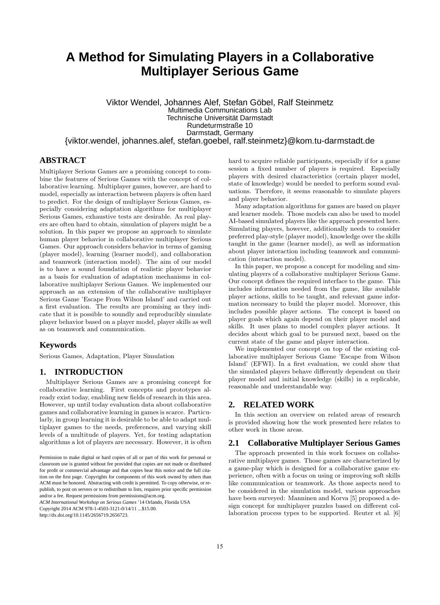# **A Method for Simulating Players in a Collaborative Multiplayer Serious Game**

Viktor Wendel, Johannes Alef, Stefan Göbel, Ralf Steinmetz Multimedia Communications Lab Technische Universität Darmstadt Rundeturmstraße 10 Darmstadt, Germany {viktor.wendel, johannes.alef, stefan.goebel, ralf.steinmetz}@kom.tu-darmstadt.de

# **ABSTRACT**

Multiplayer Serious Games are a promising concept to combine the features of Serious Games with the concept of collaborative learning. Multiplayer games, however, are hard to model, especially as interaction between players is often hard to predict. For the design of multiplayer Serious Games, especially considering adaptation algorithms for multiplayer Serious Games, exhaustive tests are desirable. As real players are often hard to obtain, simulation of players might be a solution. In this paper we propose an approach to simulate human player behavior in collaborative multiplayer Serious Games. Our approach considers behavior in terms of gaming (player model), learning (learner model), and collaboration and teamwork (interaction model). The aim of our model is to have a sound foundation of realistic player behavior as a basis for evaluation of adaptation mechanisms in collaborative multiplayer Serious Games. We implemented our approach as an extension of the collaborative multiplayer Serious Game 'Escape From Wilson Island' and carried out a first evaluation. The results are promising as they indicate that it is possible to soundly and reproducibly simulate player behavior based on a player model, player skills as well as on teamwork and communication.

# **Keywords**

Serious Games, Adaptation, Player Simulation

# **1. INTRODUCTION**

Multiplayer Serious Games are a promising concept for collaborative learning. First concepts and prototypes already exist today, enabling new fields of research in this area. However, up until today evaluation data about collaborative games and collaborative learning in games is scarce. Particularly, in group learning it is desirable to be able to adapt multiplayer games to the needs, preferences, and varying skill levels of a multitude of players. Yet, for testing adaptation algorithms a lot of players are necessary. However, it is often

*ACM International Workshop on Serious Games* '14 Orlando, Florida USA

Copyright 2014 ACM 978-1-4503-3121-0/14/11 ...\$15.00.

http://dx.doi.org/10.1145/2656719.2656723.

hard to acquire reliable participants, especially if for a game session a fixed number of players is required. Especially players with desired characteristics (certain player model, state of knowledge) would be needed to perform sound evaluations. Therefore, it seems reasonable to simulate players and player behavior.

Many adaptation algorithms for games are based on player and learner models. Those models can also be used to model AI-based simulated players like the approach presented here. Simulating players, however, additionally needs to consider preferred play-style (player model), knowledge over the skills taught in the game (learner model), as well as information about player interaction including teamwork and communication (interaction model).

In this paper, we propose a concept for modeling and simulating players of a collaborative multiplayer Serious Game. Our concept defines the required interface to the game. This includes information needed from the game, like available player actions, skills to be taught, and relevant game information necessary to build the player model. Moreover, this includes possible player actions. The concept is based on player goals which again depend on their player model and skills. It uses plans to model complex player actions. It decides about which goal to be pursued next, based on the current state of the game and player interaction.

We implemented our concept on top of the existing collaborative multiplayer Serious Game 'Escape from Wilson Island' (EFWI). In a first evaluation, we could show that the simulated players behave differently dependent on their player model and initial knowledge (skills) in a replicable, reasonable and understandable way.

# **2. RELATED WORK**

In this section an overview on related areas of research is provided showing how the work presented here relates to other work in those areas.

# **2.1 Collaborative Multiplayer Serious Games**

The approach presented in this work focuses on collaborative multiplayer games. Those games are characterized by a game-play which is designed for a collaborative game experience, often with a focus on using or improving soft skills like communication or teamwork. As those aspects need to be considered in the simulation model, various approaches have been surveyed: Manninen and Korva [5] proposed a design concept for multiplayer puzzles based on different collaboration process types to be supported. Reuter et al. [6]

Permission to make digital or hard copies of all or part of this work for personal or classroom use is granted without fee provided that copies are not made or distributed for profit or commercial advantage and that copies bear this notice and the full citation on the first page. Copyrights for components of this work owned by others than ACM must be honored. Abstracting with credit is permitted. To copy otherwise, or republish, to post on servers or to redistribute to lists, requires prior specific permission and/or a fee. Request permissions from permissions@acm.org.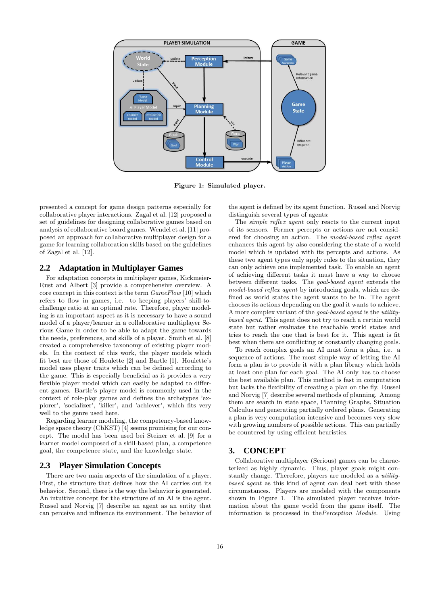

Figure 1: Simulated player.

presented a concept for game design patterns especially for collaborative player interactions. Zagal et al. [12] proposed a set of guidelines for designing collaborative games based on analysis of collaborative board games. Wendel et al. [11] proposed an approach for collaborative multiplayer design for a game for learning collaboration skills based on the guidelines of Zagal et al. [12].

## **2.2 Adaptation in Multiplayer Games**

For adaptation concepts in multiplayer games, Kickmeier-Rust and Albert [3] provide a comprehensive overview. A core concept in this context is the term *GameFlow* [10] which refers to flow in games, i.e. to keeping players' skill-tochallenge ratio at an optimal rate. Therefore, player modeling is an important aspect as it is necessary to have a sound model of a player/learner in a collaborative multiplayer Serious Game in order to be able to adapt the game towards the needs, preferences, and skills of a player. Smith et al. [8] created a comprehensive taxonomy of existing player models. In the context of this work, the player models which fit best are those of Houlette [2] and Bartle [1]. Houlette's model uses player traits which can be defined according to the game. This is especially beneficial as it provides a very flexible player model which can easily be adapted to different games. Bartle's player model is commonly used in the context of role-play games and defines the archetypes 'explorer', 'socializer', 'killer', and 'achiever', which fits very well to the genre used here.

Regarding learner modeling, the competency-based knowledge space theory (CbKST) [4] seems promising for our concept. The model has been used bei Steiner et al. [9] for a learner model composed of a skill-based plan, a competence goal, the competence state, and the knowledge state.

## **2.3 Player Simulation Concepts**

There are two main aspects of the simulation of a player. First, the structure that defines how the AI carries out its behavior. Second, there is the way the behavior is generated. An intuitive concept for the structure of an AI is the agent. Russel and Norvig [7] describe an agent as an entity that can perceive and influence its environment. The behavior of the agent is defined by its agent function. Russel and Norvig distinguish several types of agents:

The *simple reflex agent* only reacts to the current input of its sensors. Former percepts or actions are not considered for choosing an action. The *model-based reflex agent* enhances this agent by also considering the state of a world model which is updated with its percepts and actions. As these two agent types only apply rules to the situation, they can only achieve one implemented task. To enable an agent of achieving different tasks it must have a way to choose between different tasks. The *goal-based agent* extends the *model-based reflex agent* by introducing goals, which are defined as world states the agent wants to be in. The agent chooses its actions depending on the goal it wants to achieve. A more complex variant of the *goal-based agent* is the *utilitybased agent*. This agent does not try to reach a certain world state but rather evaluates the reachable world states and tries to reach the one that is best for it. This agent is fit best when there are conflicting or constantly changing goals.

To reach complex goals an AI must form a plan, i.e. a sequence of actions. The most simple way of letting the AI form a plan is to provide it with a plan library which holds at least one plan for each goal. The AI only has to choose the best available plan. This method is fast in computation but lacks the flexibility of creating a plan on the fly. Russel and Norvig [7] describe several methods of planning. Among them are search in state space, Planning Graphs, Situation Calculus and generating partially ordered plans. Generating a plan is very computation intensive and becomes very slow with growing numbers of possible actions. This can partially be countered by using efficient heuristics.

## **3. CONCEPT**

Collaborative multiplayer (Serious) games can be characterized as highly dynamic. Thus, player goals might constantly change. Therefore, players are modeled as a *utilitybased agent* as this kind of agent can deal best with those circumstances. Players are modeled with the components shown in Figure 1. The simulated player receives information about the game world from the game itself. The information is processed in the*Perception Module*. Using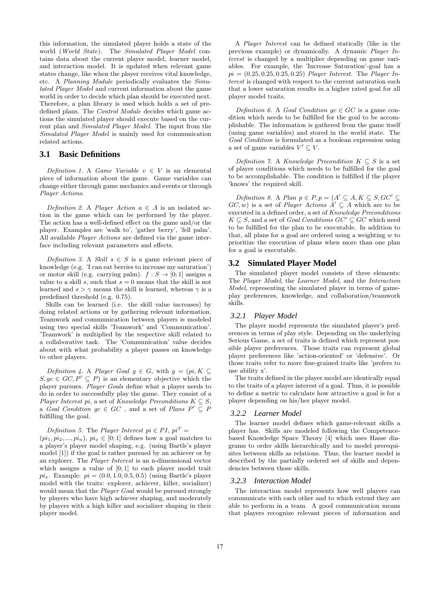this information, the simulated player holds a state of the world (*World State*). The *Simulated Player Model* contains data about the current player model, learner model, and interaction model. It is updated when relevant game states change, like when the player receives vital knowledge, etc. A *Planning Module* periodically evaluates the *Simulated Player Model* and current information about the game world in order to decide which plan should be executed next. Therefore, a plan library is used which holds a set of predefined plans. The *Control Module* decides which game actions the simulated player should execute based on the current plan and *Simulated Player Model*. The input from the *Simulated Player Model* is mainly used for communication related actions.

## **3.1 Basic Definitions**

*Definition 1.* A *Game Variable*  $v \in V$  is an elemental piece of information about the game. Game variables can change either through game mechanics and events or through *Player Actions*.

*Definition 2.* A *Player Action*  $a \in A$  is an isolated action in the game which can be performed by the player. The action has a well-defined effect on the game and/or the player. Examples are 'walk to', 'gather berry', 'fell palm'. All available *Player Actions* are defined via the game interface including relevant parameters and effects.

*Definition 3.* A *Skill*  $s \in S$  is a game relevant piece of knowledge (e.g. 'I can eat berries to increase my saturation') or motor skill (e.g. carrying palm).  $f : S \to [0, 1]$  assigns a value to a skill s, such that  $s = 0$  means that the skill is not learned and  $s > \gamma$  means the skill is learned, whereas  $\gamma$  is a predefined threshold (e.g. 0.75).

Skills can be learned (i.e. the skill value increases) by doing related actions or by gathering relevant information. Teamwork and communication between players is modeled using two special skills 'Teamwork' and 'Communication'. 'Teamwork' is multiplied by the respective skill related to a collaborative task. The 'Communication' value decides about with what probability a player passes on knowledge to other players.

*Definition 4.* A *Player Goal*  $g \in G$ , with  $g = (pi, K \subseteq$  $S, gc \in GC, P' \subseteq P$  is an elementary objective which the player pursues. *Player Goals* define what a player needs to do in order to successfully play the game. They consist of a *Player Interest pi*, a set of *Knowledge Preconditions*  $K \subseteq S$ , a *Goal Condition*  $gc \in GC$ , and a set of *Plans*  $P' \subseteq P$ fulfilling the goal.

*Definition 5.* The *Player Interest*  $pi \in PI$ ,  $pi^T =$  $(pi_1, pi_2, ..., pi_n), pi_x \in [0,1]$  defines how a goal matches to a player's player model shaping, e.g. (using Bartle's player model [1]) if the goal is rather pursued by an achiever or by an explorer. The *Player Interest* is an n-dimensional vector which assigns a value of  $[0; 1]$  to each player model trait  $pi_x$ . Example:  $pi = (0.0, 1.0, 0.5, 0.5)$  (using Bartle's player model with the traits: explorer, achiever, killer, socializer) would mean that the *Player Goal* would be pursued strongly by players who have high achiever shaping, and moderately by players with a high killer and socializer shaping in their player model.

A *Player Interest* can be defined statically (like in the previous example) or dynamically. A dynamic *Player Interest* is changed by a multiplier depending on game variables. For example, the 'Increase Saturation'-goal has a  $pi = (0.25, 0.25, 0.25, 0.25)$  *Player Interest.* The *Player Interest* is changed with respect to the current saturation such that a lower saturation results in a higher rated goal for all player model traits.

*Definition 6.* A *Goal Condition*  $qc \in GC$  is a game condition which needs to be fulfilled for the goal to be accomplishable. The information is gathered from the game itself (using game variables) and stored in the world state. The *Goal Condition* is formulated as a boolean expression using a set of game variables  $V' \subseteq V$ .

*Definition 7.* A *Knowledge Precondition*  $K \subseteq S$  is a set of player conditions which needs to be fulfilled for the goal to be accomplishable. The condition is fulfilled if the player 'knows' the required skill.

*Definition 8.* A *Plan*  $p \in P$ ,  $p = (A' \subseteq A, K \subseteq S, GC' \subseteq A)$  $GC, w$ ) is a set of *Player Actions*  $A' \subseteq A$  which are to be executed in a defined order, a set of *Knowledge Preconditions*  $K \subseteq S$ , and a set of *Goal Conditions*  $GC' \subseteq GC$  which need to be fulfilled for the plan to be executable. In addition to that, all plans for a goal are ordered using a weighting  $w$  to prioritize the execution of plans when more than one plan for a goal is executable.

## **3.2 Simulated Player Model**

The simulated player model consists of three elements: The *Player Model*, the *Learner Model*, and the *Interaction Model*, representing the simulated player in terms of gameplay preferences, knowledge, and collaboration/teamwork skills.

## *3.2.1 Player Model*

The player model represents the simulated player's preferences in terms of play style. Depending on the underlying Serious Game, a set of traits is defined which represent possible player preferences. Those traits can represent global player preferences like 'action-oriented' or 'defensive'. Or those traits refer to more fine-grained traits like 'prefers to use ability x'.

The traits defined in the player model are identically equal to the traits of a player interest of a goal. Thus, it is possible to define a metric to calculate how attractive a goal is for a player depending on his/her player model.

## *3.2.2 Learner Model*

The learner model defines which game-relevant skills a player has. Skills are modeled following the Competencebased Knowledge Space Theory [4] which uses Hasse diagrams to order skills hierarchically and to model prerequisites between skills as relations. Thus, the learner model is described by the partially ordered set of skills and dependencies between those skills.

#### *3.2.3 Interaction Model*

The interaction model represents how well players can communicate with each other and to which extend they are able to perform in a team. A good communication means that players recognize relevant pieces of information and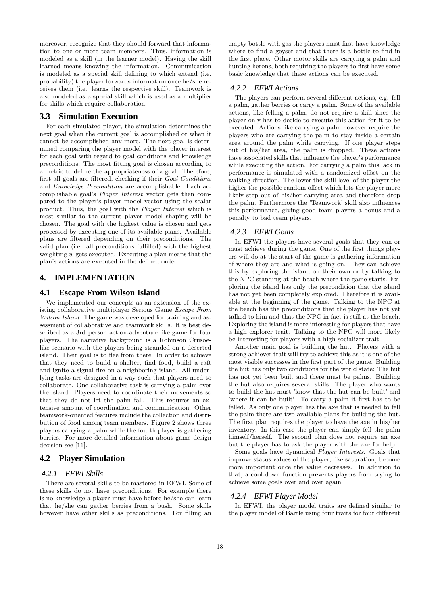moreover, recognize that they should forward that information to one or more team members. Thus, information is modeled as a skill (in the learner model). Having the skill learned means knowing the information. Communication is modeled as a special skill defining to which extend (i.e. probability) the player forwards information once he/she receives them (i.e. learns the respective skill). Teamwork is also modeled as a special skill which is used as a multiplier for skills which require collaboration.

## **3.3 Simulation Execution**

For each simulated player, the simulation determines the next goal when the current goal is accomplished or when it cannot be accomplished any more. The next goal is determined comparing the player model with the player interest for each goal with regard to goal conditions and knowledge preconditions. The most fitting goal is chosen according to a metric to define the appropriateness of a goal. Therefore, first all goals are filtered, checking if their *Goal Conditions* and *Knowledge Precondition* are accomplishable. Each accomplishable goal's *Player Interest* vector gets then compared to the player's player model vector using the scalar product. Thus, the goal with the *Player Interest* which is most similar to the current player model shaping will be chosen. The goal with the highest value is chosen and gets processed by executing one of its available plans. Available plans are filtered depending on their preconditions. The valid plan (i.e. all preconditions fulfilled) with the highest weighting  $w$  gets executed. Executing a plan means that the plan's actions are executed in the defined order.

# **4. IMPLEMENTATION**

## **4.1 Escape From Wilson Island**

We implemented our concepts as an extension of the existing collaborative multiplayer Serious Game *Escape From Wilson Island*. The game was developed for training and assessment of collaborative and teamwork skills. It is best described as a 3rd person action-adventure like game for four players. The narrative background is a Robinson Crusoelike scenario with the players being stranded on a deserted island. Their goal is to flee from there. In order to achieve that they need to build a shelter, find food, build a raft and ignite a signal fire on a neighboring island. All underlying tasks are designed in a way such that players need to collaborate. One collaborative task is carrying a palm over the island. Players need to coordinate their movements so that they do not let the palm fall. This requires an extensive amount of coordination and communication. Other teamwork-oriented features include the collection and distribution of food among team members. Figure 2 shows three players carrying a palm while the fourth player is gathering berries. For more detailed information about game design decision see [11].

# **4.2 Player Simulation**

## *4.2.1 EFWI Skills*

There are several skills to be mastered in EFWI. Some of these skills do not have preconditions. For example there is no knowledge a player must have before he/she can learn that he/she can gather berries from a bush. Some skills however have other skills as preconditions. For filling an empty bottle with gas the players must first have knowledge where to find a geyser and that there is a bottle to find in the first place. Other motor skills are carrying a palm and hunting herons, both requiring the players to first have some basic knowledge that these actions can be executed.

## *4.2.2 EFWI Actions*

The players can perform several different actions, e.g. fell a palm, gather berries or carry a palm. Some of the available actions, like felling a palm, do not require a skill since the player only has to decide to execute this action for it to be executed. Actions like carrying a palm however require the players who are carrying the palm to stay inside a certain area around the palm while carrying. If one player steps out of his/her area, the palm is dropped. These actions have associated skills that influence the player's performance while executing the action. For carrying a palm this lack in performance is simulated with a randomized offset on the walking direction. The lower the skill level of the player the higher the possible random offset which lets the player more likely step out of his/her carrying area and therefore drop the palm. Furthermore the 'Teamwork' skill also influences this performance, giving good team players a bonus and a penalty to bad team players.

#### *4.2.3 EFWI Goals*

In EFWI the players have several goals that they can or must achieve during the game. One of the first things players will do at the start of the game is gathering information of where they are and what is going on. They can achieve this by exploring the island on their own or by talking to the NPC standing at the beach where the game starts. Exploring the island has only the precondition that the island has not vet been completely explored. Therefore it is available at the beginning of the game. Talking to the NPC at the beach has the preconditions that the player has not yet talked to him and that the NPC in fact is still at the beach. Exploring the island is more interesting for players that have a high explorer trait. Talking to the NPC will more likely be interesting for players with a high socializer trait.

Another main goal is building the hut. Players with a strong achiever trait will try to achieve this as it is one of the most visible successes in the first part of the game. Building the hut has only two conditions for the world state: The hut has not yet been built and there must be palms. Building the hut also requires several skills: The player who wants to build the hut must 'know that the hut can be built' and 'where it can be built'. To carry a palm it first has to be felled. As only one player has the axe that is needed to fell the palm there are two available plans for building the hut. The first plan requires the player to have the axe in his/her inventory. In this case the player can simply fell the palm himself/herself. The second plan does not require an axe but the player has to ask the player with the axe for help.

Some goals have dynamical *Player Interests*. Goals that improve status values of the player, like saturation, become more important once the value decreases. In addition to that, a cool-down function prevents players from trying to achieve some goals over and over again.

#### *4.2.4 EFWI Player Model*

In EFWI, the player model traits are defined similar to the player model of Bartle using four traits for four different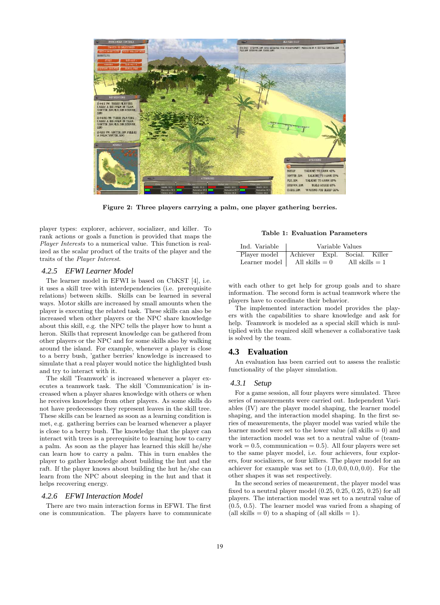

Figure 2: Three players carrying a palm, one player gathering berries.

player types: explorer, achiever, socializer, and killer. To rank actions or goals a function is provided that maps the *Player Interests* to a numerical value. This function is realized as the scalar product of the traits of the player and the traits of the *Player Interest*.

#### *4.2.5 EFWI Learner Model*

The learner model in EFWI is based on CbKST [4], i.e. it uses a skill tree with interdependencies (i.e. prerequisite relations) between skills. Skills can be learned in several ways. Motor skills are increased by small amounts when the player is executing the related task. These skills can also be increased when other players or the NPC share knowledge about this skill, e.g. the NPC tells the player how to hunt a heron. Skills that represent knowledge can be gathered from other players or the NPC and for some skills also by walking around the island. For example, whenever a player is close to a berry bush, 'gather berries' knowledge is increased to simulate that a real player would notice the highlighted bush and try to interact with it.

The skill 'Teamwork' is increased whenever a player executes a teamwork task. The skill 'Communication' is increased when a player shares knowledge with others or when he receives knowledge from other players. As some skills do not have predecessors they represent leaves in the skill tree. These skills can be learned as soon as a learning condition is met, e.g. gathering berries can be learned whenever a player is close to a berry bush. The knowledge that the player can interact with trees is a prerequisite to learning how to carry a palm. As soon as the player has learned this skill he/she can learn how to carry a palm. This in turn enables the player to gather knowledge about building the hut and the raft. If the player knows about building the hut he/she can learn from the NPC about sleeping in the hut and that it helps recovering energy.

#### *4.2.6 EFWI Interaction Model*

There are two main interaction forms in EFWI. The first one is communication. The players have to communicate

#### Table 1: Evaluation Parameters

| Ind. Variable                                | Variable Values  |  |                  |  |
|----------------------------------------------|------------------|--|------------------|--|
| Player model   Achiever Expl. Social. Killer |                  |  |                  |  |
| Learner model                                | All skills $= 0$ |  | All skills $= 1$ |  |

with each other to get help for group goals and to share information. The second form is actual teamwork where the players have to coordinate their behavior.

The implemented interaction model provides the players with the capabilities to share knowledge and ask for help. Teamwork is modeled as a special skill which is multiplied with the required skill whenever a collaborative task is solved by the team.

## **4.3 Evaluation**

An evaluation has been carried out to assess the realistic functionality of the player simulation.

### *4.3.1 Setup*

For a game session, all four players were simulated. Three series of measurements were carried out. Independent Variables (IV) are the player model shaping, the learner model shaping, and the interaction model shaping. In the first series of measurements, the player model was varied while the learner model were set to the lower value (all skills  $= 0$ ) and the interaction model was set to a neutral value of (teamwork  $= 0.5$ , communication  $= 0.5$ ). All four players were set to the same player model, i.e. four achievers, four explorers, four socializers, or four killers. The player model for an achiever for example was set to  $(1.0, 0.0, 0.0, 0.0)$ . For the other shapes it was set respectively.

In the second series of measurement, the player model was fixed to a neutral player model (0.25, 0.25, 0.25, 0.25) for all players. The interaction model was set to a neutral value of (0.5, 0.5). The learner model was varied from a shaping of (all skills  $= 0$ ) to a shaping of (all skills  $= 1$ ).